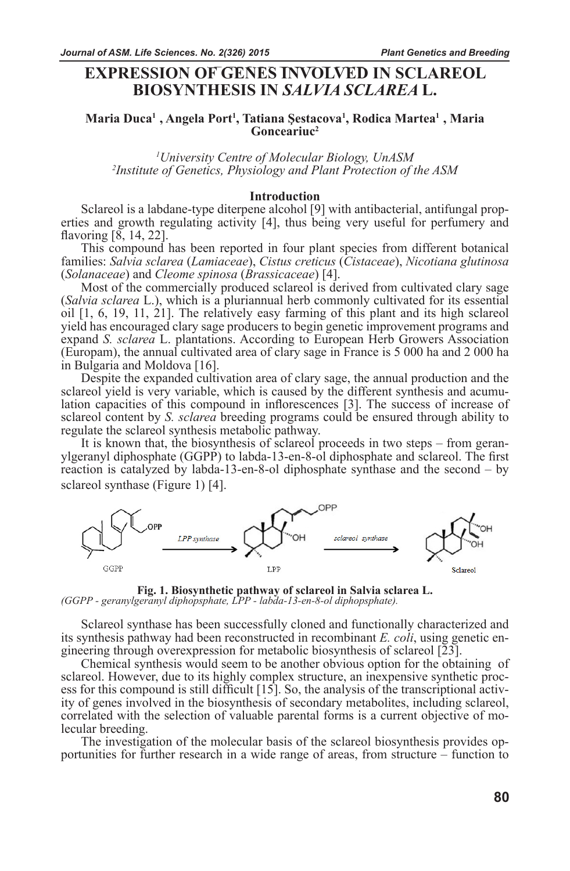# **EXPRESSION OF GENES INVOLVED IN SCLAREOL BIOSYNTHESIS IN** *SALVIA SCLAREA* **L.**

# **Maria Duca<sup>1</sup>, Angela Port<sup>1</sup>, Tatiana Şestacova<sup>1</sup>, Rodica Martea<sup>1</sup>, Maria Gonceariuc2**

<sup>1</sup>University Centre of Molecular Biology, UnASM *University Centre of Molecular Biology, UnASM <sup>2</sup> Institute of Genetics, Physiology and Plant Protection of the ASM*

**Introduction**<br>Sclareol is a labdane-type diterpene alcohol [9] with antibacterial, antifungal properties and growth regulating activity [4], thus being very useful for perfumery and flavoring [8, 14, 22].

This compound has been reported in four plant species from different botanical families: *Salvia sclarea* (*Lamiaceae*), *Cistus creticus* (*Cistaceae*), *Nicotiana glutinosa* (*Solanaceae*) and *Cleome spinosa* (*Brassicaceae*) [4].

Most of the commercially produced sclareol is derived from cultivated clary sage (*Salvia sclarea* L.), which is a pluriannual herb commonly cultivated for its essential oil [1, 6, 19, 11, 21]. The relatively easy farming of this plant and its high sclareol yield has encouraged clary sage producers to begin genetic improvement programs and expand *S. sclarea* L. plantations. According to European Herb Growers Association (Europam), the annual cultivated area of clary sage in France is 5 000 ha and 2 000 ha in Bulgaria and Moldova [16].

Despite the expanded cultivation area of clary sage, the annual production and the sclareol yield is very variable, which is caused by the different synthesis and acumulation capacities of this compound in inflorescences [3]. The success of increase of sclareol content by *S. sclarea* breeding programs could be ensured through ability to regulate the sclareol synthesis metabolic pathway.

It is known that, the biosynthesis of sclareol proceeds in two steps – from geranylgeranyl diphosphate (GGPP) to labda-13-en-8-ol diphosphate and sclareol. The first reaction is catalyzed by labda-13-en-8-ol diphosphate synthase and the second – by sclareol synthase (Figure 1) [4].



**Fig. 1. Biosynthetic pathway of sclareol in Salvia sclarea L.** *(GGPP - geranylgeranyl diphopsphate, LPP - labda-13-en-8-ol diphopsphate).*

Sclareol synthase has been successfully cloned and functionally characterized and its synthesis pathway had been reconstructed in recombinant *E. coli*, using genetic en- gineering through overexpression for metabolic biosynthesis of sclareol [23].

Chemical synthesis would seem to be another obvious option for the obtaining of sclareol. However, due to its highly complex structure, an inexpensive synthetic process for this compound is still difficult [15]. So, the analysis of the transcriptional activity of genes involved in the biosynthesis of secondary metabolites, including sclareol, correlated with the selection of valuable parental forms is a current objective of molecular breeding.

The investigation of the molecular basis of the sclareol biosynthesis provides opportunities for further research in a wide range of areas, from structure – function to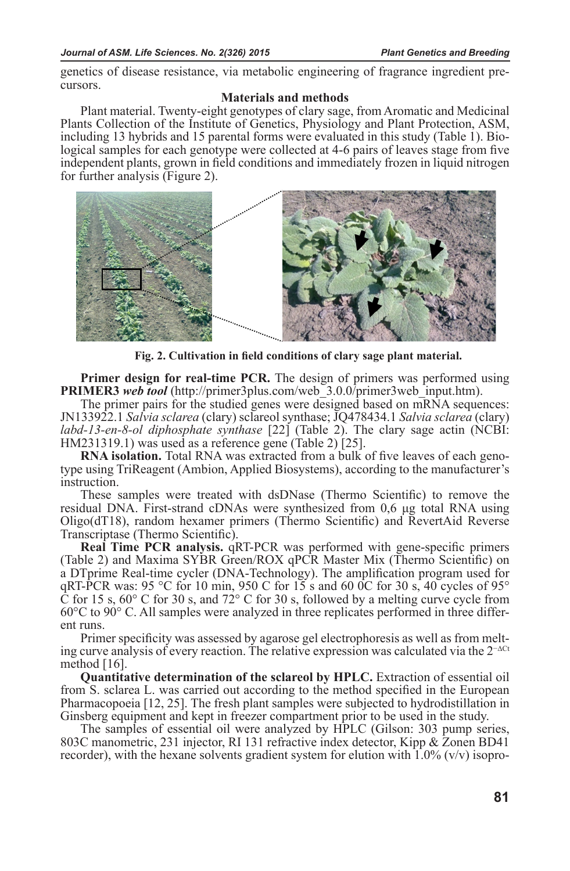genetics of disease resistance, via metabolic engineering of fragrance ingredient precursors.

# **Materials and methods**

Plant material. Twenty-eight genotypes of clary sage, from Aromatic and Medicinal Plants Collection of the Institute of Genetics, Physiology and Plant Protection, ASM, including 13 hybrids and 15 parental forms were evaluated in this study (Table 1). Biological samples for each genotype were collected at 4-6 pairs of leaves stage from five independent plants, grown in field conditions and immediately frozen in liquid nitrogen for further analysis (Figure 2).



**Fig. 2. Cultivation in field conditions of clary sage plant material.**

**Primer design for real-time PCR.** The design of primers was performed using **PRIMER3** *web tool* (http://primer3plus.com/web\_3.0.0/primer3web\_input.htm).

The primer pairs for the studied genes were designed based on mRNA sequences: JN133922.1 *Salvia sclarea* (clary) sclareol synthase; JQ478434.1 *Salvia sclarea* (clary) *labd-13-en-8-ol diphosphate synthase* [22] (Table 2). The clary sage actin (NCBI: HM231319.1) was used as a reference gene (Table 2) [25].<br>**RNA isolation.** Total RNA was extracted from a bulk of five leaves of each geno-

type using TriReagent (Ambion, Applied Biosystems), according to the manufacturer's instruction.

These samples were treated with dsDNase (Thermo Scientific) to remove the residual DNA. First-strand cDNAs were synthesized from 0,6 μg total RNA using Oligo(dT18), random hexamer primers (Thermo Scientific) and RevertAid Reverse Transcriptase (Thermo Scientific).

**Real Time PCR analysis. qRT-PCR** was performed with gene-specific primers (Table 2) and Maxima SYBR Green/ROX qPCR Master Mix (Thermo Scientific) on a DTprime Real-time cycler (DNA-Technology). The amplification program used for qRT-PCR was: 95 °C for 10 min, 950 C for  $15/5$  s and 60 0C for 30 s, 40 cycles of 95°  $\overline{C}$  for 15 s, 60 $\degree$  C for 30 s, and 72 $\degree$  C for 30 s, followed by a melting curve cycle from 60°C to 90° C. All samples were analyzed in three replicates performed in three different runs.

Primer specificity was assessed by agarose gel electrophoresis as well as from melting curve analysis of every reaction. The relative expression was calculated via the  $2^{-\Delta Ct}$ method [16].

**Quantitative determination of the sclareol by HPLC.** Extraction of essential oil from S. sclarea L. was carried out according to the method specified in the European Pharmacopoeia [12, 25]. The fresh plant samples were subjected to hydrodistillation in Ginsberg equipment and kept in freezer compartment prior to be used in the study.

The samples of essential oil were analyzed by HPLC (Gilson: 303 pump series, 803C manometric, 231 injector, RI 131 refractive index detector, Kipp & Zonen BD41 recorder), with the hexane solvents gradient system for elution with  $1.0\%$  (v/v) isopro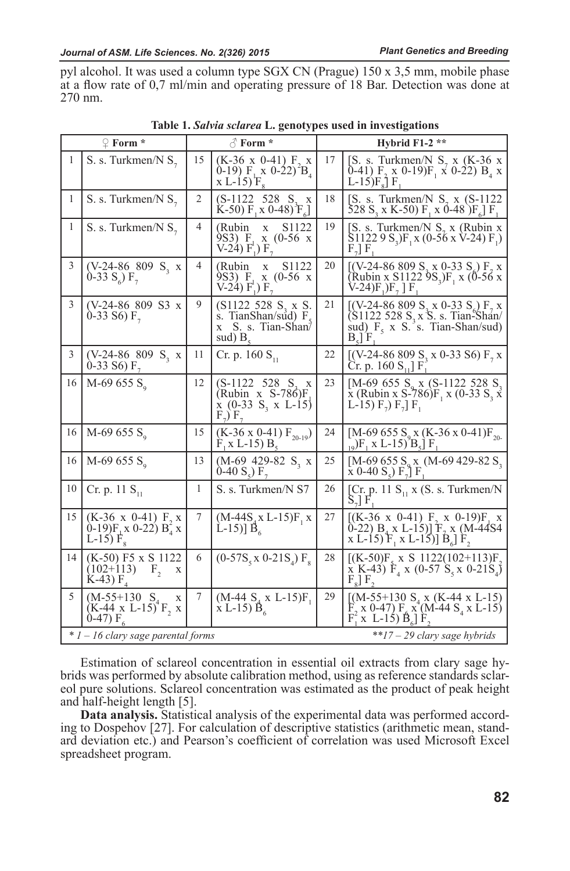pyl alcohol. It was used a column type SGX CN (Prague) 150 x 3,5 mm, mobile phase at a flow rate of 0,7 ml/min and operating pressure of 18 Bar. Detection was done at 270 nm.

|              | $\mathcal{Q}$ Form $*$                                                           | $\triangle$ Form $*$<br>Hybrid $F1-2$ ** |                                                                                                      |    |                                                                                                                                                                                                    |  |
|--------------|----------------------------------------------------------------------------------|------------------------------------------|------------------------------------------------------------------------------------------------------|----|----------------------------------------------------------------------------------------------------------------------------------------------------------------------------------------------------|--|
| 1            | S. s. Turkmen/N $S_7$                                                            | 15                                       | $(K-36 \times 0-41)$ F <sub>2</sub> x<br>0-19) $F_1 x$ 0-22) <sup>2</sup> $B_4$<br>x L-15) $F_8$     | 17 | [S. s. Turkmen/N $S_7$ x (K-36 x<br>0-41) $F_2$ x 0-19) $F_1$ x 0-22) $B_4$ x<br>L-15) $F_8$ ] $F_1$                                                                                               |  |
| $\mathbf{1}$ | S. s. Turkmen/N $S_7$                                                            | 2                                        | $(S-1122 \t 528 S, x$<br>$K-50$ F, x 0-48) $F_{\rm g}$                                               | 18 | [S. s. Turkmen/N $S_7$ x (S-1122)<br>528 S <sub>3</sub> x K-50) F <sub>1</sub> x 0-48 )F <sub>6</sub> ] F <sub>1</sub>                                                                             |  |
| 1            | S. s. Turkmen/N $S_7$                                                            | 4                                        | (Rubin)<br>S <sub>1122</sub><br>X<br>9S3) F.<br>$x(0-56)$ x<br>$V-24$ ) $F_1$ ) $F_2$                | 19 | [S. s. Turkmen/N $S_7$ x (Rubin x<br>$S11229 S_3$ F <sub>1</sub> x (0-56 x V-24) F <sub>1</sub> )<br>$F_{\gamma}$ F                                                                                |  |
| 3            | $(V-24-86 809 S_3 x$<br>0-33 $S_6$ ) $F_7$                                       | 4                                        | (Rubin)<br>S <sub>1122</sub><br>X<br>9S3) F.<br>$x(0-56)$<br>$V-24$ ) $F_1$ ) $F_2$                  | 20 | [(V-24-86 809 S <sub>3</sub> x 0-33 S <sub>6</sub> ) F <sub>7</sub> x<br>(Rubin x S1122 9S <sub>3</sub> )F <sub>1</sub> x (0-56 x)<br>$V-24$ )F <sub>1</sub> )F <sub>2</sub> F <sub>1</sub>        |  |
| 3            | (V-24-86 809 S3 x<br>0-33 S6) $F_7$                                              | 9                                        | (S1122 528 S, x S)<br>s. TianShan/sud) $F_s$<br>x S. s. Tian-Shan<br>sud) $B_{\rm s}$                | 21 | [(V-24-86 809 S, x 0-33 S) $F_7$ x<br>$(S1122 528 S, x S. s. TianoShan/$<br>sud) $F_5$ x S. s. Tian-Shan/sud)<br>$B_{s}$ $F_{s}$                                                                   |  |
| 3            | $(V-24-86 809 S_3 x$<br>0-33 S6) $F_7$                                           | 11                                       | Cr. p. 160 $S_{11}$                                                                                  | 22 | [(V-24-86 809 S <sub>3</sub> x 0-33 S6) $F_7$ x<br>Cr. p. 160 $S_{11}$ F                                                                                                                           |  |
| 16           | M-69 655 $S_0$                                                                   | 12                                       | $(S-1122 \t 528 S, x$<br>$(Rubin x S-786)F$<br>$\bar{x}$ (0-33 S <sub>3</sub> x L-15)<br>$F_7$ $F_7$ | 23 | [M-69 655 $S_0$ x (S-1122 528 $S_3$ )<br>$\bar{x}$ (Rubin x S-786)F <sub>1</sub> x (0-33 S <sub>3</sub> x <sup>2</sup> )<br>L-15) $F_7$ ) $F_7$ ] $F_1$                                            |  |
| 16           | M-69 655 $S_q$                                                                   | 15                                       | $(K-36 \times 0-41) F_{20-19})$<br>$F_1 x L-15$ $B_5$                                                | 24 | [M-69 655 S <sub>o</sub> x (K-36 x 0-41)F <sub>20</sub><br>$\left[\begin{smallmatrix} 1 & 0 \\ 0 & 0 \end{smallmatrix}\right]$ F <sub>1</sub> x L-15) <sup>2</sup> B <sub>5</sub> ] F <sub>1</sub> |  |
| 16           | M-69 655 $S_0$                                                                   | 13                                       | $(M-69 429-82 S, x$<br>0-40 S <sub>5</sub> ) $F_7$                                                   | 25 | [M-69 655 S <sub>9</sub> x (M-69 429-82 S <sub>3</sub> x 0-40 S <sub>5</sub> ) $F_7$ ] $F_1$                                                                                                       |  |
| 10           | Cr. p. 11 $S_{11}$                                                               | 1                                        | S. s. Turkmen/N S7                                                                                   | 26 | [Cr. p. 11 $S_{11}$ x (S. s. Turkmen/N<br>$S_{\tau}$ F                                                                                                                                             |  |
| 15           | $(K-36 \times 0-41)$ F, x<br>$(0-19)F_1x(0-22)B_4^2x$<br>L-15) $F_{8}$           | 7                                        | $(M-44S_{A}x L-15)F_{A}x$<br>L-15)] $\vec{B}_6$                                                      | 27 | $[(K-36 \times 0-41) F, x 0-19)F, x$<br>$(0-22) B_4 x L_1[5]$ $F_7 x (M-44S4)$<br>x L-15) $F_1$ x L-15)] $B_6$ ] $F_2$                                                                             |  |
| 14           | $(K-50)$ F5 x S 1122<br>$(102+113)$<br>$F_{\alpha}$<br>X<br>$K-43$ ) $F_{\rm A}$ | 6                                        | $(0-57S_{5}x 0-21S_{4})F_{8}$                                                                        | 28 | $[(K-50)F_{s} \times S \ 1122(102+113)F_{s}]$<br>$\bar{x}$ K-43) $F_4$ x (0-57 S <sub>5</sub> x 0-21S <sub>4</sub> )<br>$F_{\rm g}$ $F_{\rm g}$                                                    |  |
| 5            | $(M-55+130 S4)$<br>X<br>$(K-44 \times L-15)^{T}F$ , x<br>$0-47) F6$              | 7                                        | $(M-44 Sa x L-15)F1$<br>$\bar{x}$ L-15) $\bar{B}_6$                                                  | 29 | [ $(M-55+130 S_4 \times (K-44 \times L-15)$ ]<br>$\vec{F}_2$ x 0-47) $F_4$ x (M-44 S <sub>4</sub> x L-15)<br>$F_1^*$ x L-15) $\hat{B}_6$ $\hat{F}_2$                                               |  |
|              | $*1 - 16$ clary sage parental forms<br>**17 - 29 clary sage hybrids              |                                          |                                                                                                      |    |                                                                                                                                                                                                    |  |

**Table 1.** *Salvia sclarea* **L. genotypes used in investigations**

Estimation of sclareol concentration in essential oil extracts from clary sage hybrids was performed by absolute calibration method, using as reference standards sclareol pure solutions. Sclareol concentration was estimated as the product of peak height and half-height length [5].

**Data analysis.** Statistical analysis of the experimental data was performed according to Dospehov [27]. For calculation of descriptive statistics (arithmetic mean, standard deviation etc.) and Pearson's coefficient of correlation was used Microsoft Excel spreadsheet program.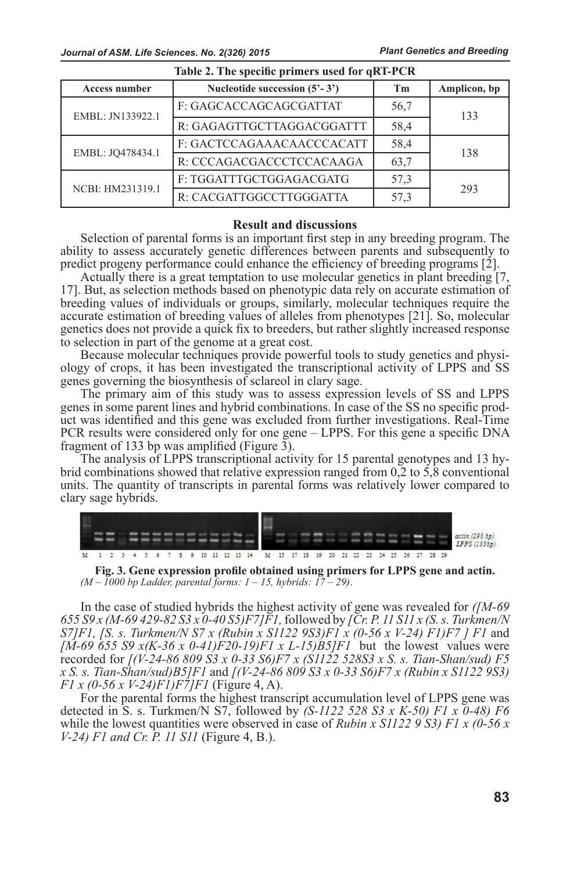*Plant Genetics and Breeding Journal of ASM. Life Sciences. No. 2(326) 2015 Plant Genetics and Breeding*

| <b>Access number</b> | Nucleotide succession $(5^2 - 3^2)$ | <b>Tm</b> | Amplicon, bp |
|----------------------|-------------------------------------|-----------|--------------|
| EMBL: JN133922.1     | F: GAGCACCAGCAGCGATTAT              | 56,7      | 133          |
|                      | R: GAGAGTTGCTTAGGACGGATTT           | 58,4      |              |
| EMBL: JQ478434.1     | F: GACTCCAGAAACAACCCACATT           | 58,4      | 138          |
|                      | R: CCCAGACGACCCTCCACAAGA            | 63,7      |              |
| NCBI: HM231319.1     | F: TGGATTTGCTGGAGACGATG             | 57,3      | 293          |
|                      | R: CACGATTGGCCTTGGGATTA             | 57.3      |              |

# **Table 2. The specific primers used for qRT-PCR**

#### **Result and discussions**

Selection of parental forms is an important first step in any breeding program. The ability to assess accurately genetic differences between parents and subsequently to predict progeny performance could enhance the efficiency of breeding programs [2].

Actually there is a great temptation to use molecular genetics in plant breeding [7, 17]. But, as selection methods based on phenotypic data rely on accurate estimation of breeding values of individuals or groups, similarly, molecular techniques require the accurate estimation of breeding values of alleles from phenotypes [21]. So, molecular genetics does not provide a quick fix to breeders, but rather slightly increased response to selection in part of the genome at a great cost.

Because molecular techniques provide powerful tools to study genetics and physiology of crops, it has been investigated the transcriptional activity of LPPS and SS genes governing the biosynthesis of sclareol in clary sage.

The primary aim of this study was to assess expression levels of SS and LPPS genes in some parent lines and hybrid combinations. In case of the SS no specific product was identified and this gene was excluded from further investigations. Real-Time PCR results were considered only for one gene – LPPS. For this gene a specific DNA fragment of 133 bp was amplified (Figure 3).<br>The analysis of LPPS transcriptional activity for 15 parental genotypes and 13 hy-

brid combinations showed that relative expression ranged from 0,2 to 5,8 conventional units. The quantity of transcripts in parental forms was relatively lower compared to clary sage hybrids.



**Fig. 3. Gene expression profile obtained using primers for LPPS gene and actin.** *(M – 1000 bp Ladder, parental forms: 1 – 15, hybrids: 17 – 29)*.

In the case of studied hybrids the highest activity of gene was revealed for *([M-69 655 S9 x (M-69 429-82 S3 x 0-40 S5)F7]F1,* followed by *[Cr. P. 11 S11 x (S. s. Turkmen/N S7]F1, [S. s. Turkmen/N S7 x (Rubin x S1122 9S3)F1 x (0-56 x V-24) F1)F7 ] F1* and *[M-69 655 S9 x(K-36 x 0-41)F20-19)F1 x L-15)B5]F1* but the lowest values were recorded for *[(V-24-86 809 S3 x 0-33 S6)F7 x (S1122 528S3 x S. s. Tian-Shan/sud) F5 x S. s. Tian-Shan/sud)B5]F1* and *[(V-24-86 809 S3 x 0-33 S6)F7 x (Rubin x S1122 9S3) F1 x (0-56 x V-24)F1)F7]F1* (Figure 4, A).

For the parental forms the highest transcript accumulation level of LPPS gene was detected in S. s. Turkmen/N S7, followed by *(S-1122 528 S3 x K-50) F1 x 0-48) F6*  while the lowest quantities were observed in case of *Rubin x S1122 9 S3) F1 x (0-56 x V-24) F1 and Cr. P. 11 S11* (Figure 4, B.).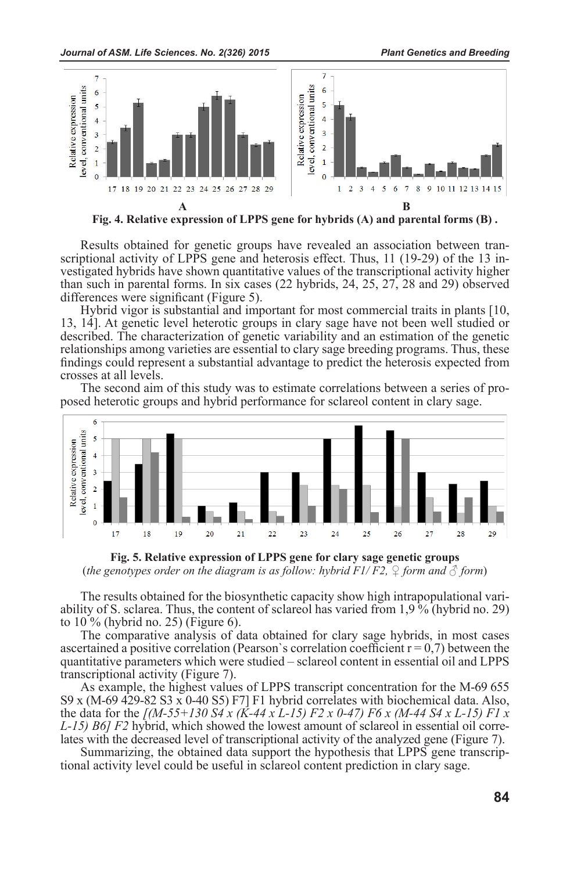

**Fig. 4. Relative expression of LPPS gene for hybrids (A) and parental forms (B) .**

Results obtained for genetic groups have revealed an association between transcriptional activity of LPPS gene and heterosis effect. Thus, 11 (19-29) of the 13 investigated hybrids have shown quantitative values of the transcriptional activity higher than such in parental forms. In six cases (22 hybrids, 24, 25, 27, 28 and 29) observed differences were significant (Figure 5).

Hybrid vigor is substantial and important for most commercial traits in plants [10, 13, 14]. At genetic level heterotic groups in clary sage have not been well studied or described. The characterization of genetic variability and an estimation of the genetic relationships among varieties are essential to clary sage breeding programs. Thus, these findings could represent a substantial advantage to predict the heterosis expected from crosses at all levels.<br>The second aim of this study was to estimate correlations between a series of pro-

posed heterotic groups and hybrid performance for sclareol content in clary sage.



**Fig. 5. Relative expression of LPPS gene for clary sage genetic groups**  (*the genotypes order on the diagram is as follow: hybrid F1/F2,*  $\mathcal{Q}$  *form and*  $\mathcal{Q}$  *form*)

The results obtained for the biosynthetic capacity show high intrapopulational variability of S. sclarea. Thus, the content of sclareol has varied from 1,9 % (hybrid no. 29) to 10 % (hybrid no. 25) (Figure 6).

The comparative analysis of data obtained for clary sage hybrids, in most cases ascertained a positive correlation (Pearson's correlation coefficient  $r = 0.7$ ) between the quantitative parameters which were studied – sclareol content in essential oil and LPPS transcriptional activity (Figure 7).

As example, the highest values of LPPS transcript concentration for the M-69 655 S9 x (M-69 429-82 S3 x 0-40 S5) F7] F1 hybrid correlates with biochemical data. Also, the data for the  $[(M-55+130 S4 x (K-44 x L-15) F2 x 0-47) F6 x (M-44 S4 x L-15) F1 x L-15) B6] F2$  hybrid, which showed the lowest amount of sclareol in essential oil correlates with the decreased level of transcriptional activity of the analyzed gene (Figure 7).

Summarizing, the obtained data support the hypothesis that LPPS gene transcrip- tional activity level could be useful in sclareol content prediction in clary sage.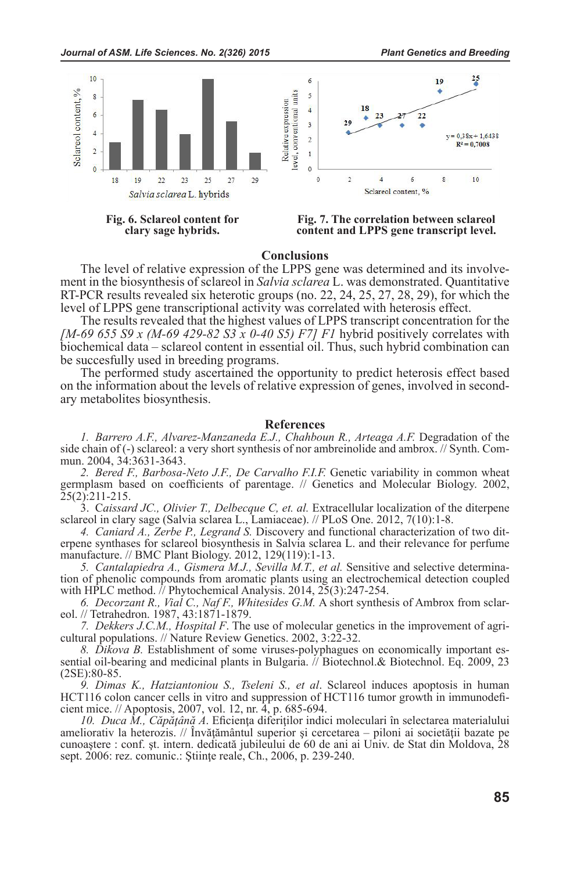



**Conclusions**<br>The level of relative expression of the LPPS gene was determined and its involvement in the biosynthesis of sclareol in *Salvia sclarea* L. was demonstrated. Quantitative RT-PCR results revealed six heterotic groups (no. 22, 24, 25, 27, 28, 29), for which the level of LPPS gene transcriptional activity was correlated with heterosis effect.

The results revealed that the highest values of LPPS transcript concentration for the *[M-69 655 S9 x (M-69 429-82 S3 x 0-40 S5) F7] F1* hybrid positively correlates with biochemical data – sclareol content in essential oil. Thus, such hybrid combination can be succesfully used in breeding programs.

The performed study ascertained the opportunity to predict heterosis effect based on the information about the levels of relative expression of genes, involved in secondary metabolites biosynthesis.

### **References**

*1. Barrero A.F., Alvarez-Manzaneda E.J., Chahboun R., Arteaga A.F.* Degradation of the side chain of (-) sclareol: a very short synthesis of nor ambreinolide and ambrox. // Synth. Commun. 2004, 34:3631-3643.

*2. Bered F., Barbosa-Neto J.F., De Carvalho F.I.F.* Genetic variability in common wheat germplasm based on coefficients of parentage. // Genetics and Molecular Biology. 2002, 25(2):211-215.

3. C*aissard JC., Olivier T., Delbecque C, et. al.* Extracellular localization of the diterpene sclareol in clary sage (Salvia sclarea L., Lamiaceae). // PLoS One. 2012, 7(10):1-8.

*4. Caniard A., Zerbe P., Legrand S.* Discovery and functional characterization of two diterpene synthases for sclareol biosynthesis in Salvia sclarea L. and their relevance for perfume manufacture. // BMC Plant Biology. 2012, 129(119):1-13.

*5. Cantalapiedra A., Gismera M.J., Sevilla M.T., et al.* Sensitive and selective determination of phenolic compounds from aromatic plants using an electrochemical detection coupled with HPLC method.  $\bar{1}$  Phytochemical Analysis. 2014, 25(3):247-254.

*6. Decorzant R., Vial C., Naf F., Whitesides G.M.* A short synthesis of Ambrox from sclareol. // Tetrahedron. 1987, 43:1871-1879.

*7. Dekkers J.C.M., Hospital F*. The use of molecular genetics in the improvement of agricultural populations. // Nature Review Genetics. 2002, 3:22-32.

*8. Dikova B.* Establishment of some viruses-polyphagues on economically important essential oil-bearing and medicinal plants in Bulgaria. // Biotechnol.& Biotechnol. Eq. 2009, 23 (2SE):80-85.

*9. Dimas K., Hatziantoniou S., Tseleni S., et al*. Sclareol induces apoptosis in human HCT116 colon cancer cells in vitro and suppression of HCT116 tumor growth in immunodeficient mice. // Apoptosis, 2007, vol. 12, nr. 4, p. 685-694.<br>
10. Duca M., Căpățână A. Eficiența diferiților indici moleculari în selectarea materialului

*10. Duca M., Căpăţână A*. Eficienţa diferiţilor indici moleculari în selectarea materialului ameliorativ la heterozis. // Învăţământul superior şi cercetarea – piloni ai societăţii bazate pe cunoaştere : сonf. şt. intern. dedicată jubileului de 60 de ani ai Univ. de Stat din Moldova, 28 sept. 2006: rez. comunic.: Ştiinţe reale, Ch., 2006, p. 239-240.